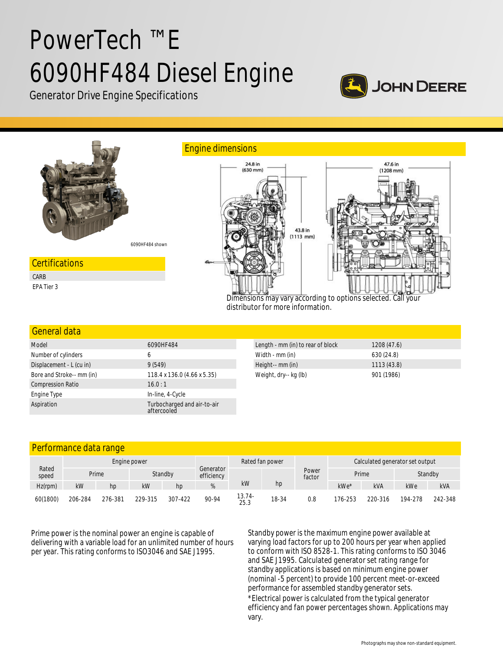# PowerTech ™ E 6090HF484 Diesel Engine







## General data

| Model                     | 6090HF484                                  | Length - mm (in) to rear of block | 1208(47.6) |
|---------------------------|--------------------------------------------|-----------------------------------|------------|
| Number of cylinders       | 6                                          | Width - mm (in)                   | 630(24.8)  |
| Displacement - L (cu in)  | 9(549)                                     | Height-- mm (in)                  | 1113(43.8) |
| Bore and Stroke-- mm (in) | 118.4 x 136.0 (4.66 x 5.35)                | Weight, dry-- kg (lb)             | 901 (1986) |
| <b>Compression Ratio</b>  | 16.0:1                                     |                                   |            |
| Engine Type               | In-line, 4-Cycle                           |                                   |            |
| Aspiration                | Turbocharged and air-to-air<br>aftercooled |                                   |            |

## Performance data range

| Rated<br>speed | Engine power |         |         |         | Rated fan power         |                |       | Calculated generator set output |         |            |         |         |
|----------------|--------------|---------|---------|---------|-------------------------|----------------|-------|---------------------------------|---------|------------|---------|---------|
|                |              | Prime   |         | Standby | Generator<br>efficiency | kW             | hp    | Power<br>factor                 | Prime   |            | Standby |         |
| $Hz$ (rpm)     | kW           | hp      | kW      | hp      |                         |                |       |                                 | kWe*    | <b>kVA</b> | kWe     | kVA     |
| 60(1800)       | 206-284      | 276-381 | 229-315 | 307-422 | 90-94                   | 13.74-<br>25.3 | 18-34 | 0.8                             | 176-253 | 220-316    | 194-278 | 242-348 |

Prime power is the nominal power an engine is capable of delivering with a variable load for an unlimited number of hours per year. This rating conforms to ISO3046 and SAE J1995.

Standby power is the maximum engine power available at varying load factors for up to 200 hours per year when applied to conform with ISO 8528-1. This rating conforms to ISO 3046 and SAE J1995. Calculated generator set rating range for standby applications is based on minimum engine power (nominal -5 percent) to provide 100 percent meet-or-exceed performance for assembled standby generator sets. \*Electrical power is calculated from the typical generator efficiency and fan power percentages shown. Applications may vary.